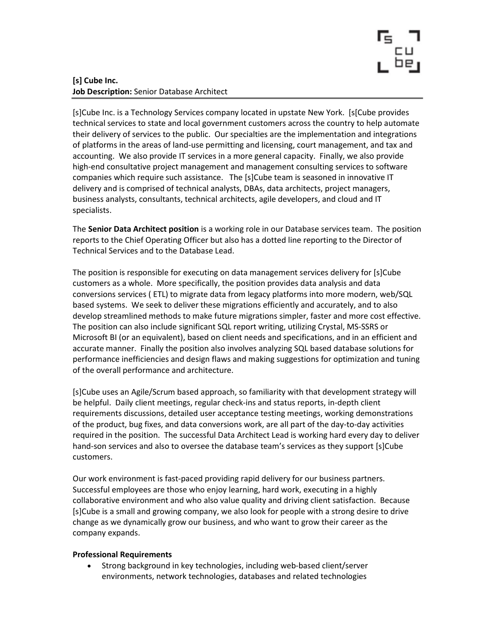

# [s] Cube Inc. Job Description: Senior Database Architect

[s]Cube Inc. is a Technology Services company located in upstate New York. [s[Cube provides technical services to state and local government customers across the country to help automate their delivery of services to the public. Our specialties are the implementation and integrations of platforms in the areas of land-use permitting and licensing, court management, and tax and accounting. We also provide IT services in a more general capacity. Finally, we also provide high-end consultative project management and management consulting services to software companies which require such assistance. The [s]Cube team is seasoned in innovative IT delivery and is comprised of technical analysts, DBAs, data architects, project managers, business analysts, consultants, technical architects, agile developers, and cloud and IT specialists.

The Senior Data Architect position is a working role in our Database services team. The position reports to the Chief Operating Officer but also has a dotted line reporting to the Director of Technical Services and to the Database Lead.

The position is responsible for executing on data management services delivery for [s]Cube customers as a whole. More specifically, the position provides data analysis and data conversions services ( ETL) to migrate data from legacy platforms into more modern, web/SQL based systems. We seek to deliver these migrations efficiently and accurately, and to also develop streamlined methods to make future migrations simpler, faster and more cost effective. The position can also include significant SQL report writing, utilizing Crystal, MS-SSRS or Microsoft BI (or an equivalent), based on client needs and specifications, and in an efficient and accurate manner. Finally the position also involves analyzing SQL based database solutions for performance inefficiencies and design flaws and making suggestions for optimization and tuning of the overall performance and architecture.

[s]Cube uses an Agile/Scrum based approach, so familiarity with that development strategy will be helpful. Daily client meetings, regular check-ins and status reports, in-depth client requirements discussions, detailed user acceptance testing meetings, working demonstrations of the product, bug fixes, and data conversions work, are all part of the day-to-day activities required in the position. The successful Data Architect Lead is working hard every day to deliver hand-son services and also to oversee the database team's services as they support [s]Cube customers.

Our work environment is fast-paced providing rapid delivery for our business partners. Successful employees are those who enjoy learning, hard work, executing in a highly collaborative environment and who also value quality and driving client satisfaction. Because [s]Cube is a small and growing company, we also look for people with a strong desire to drive change as we dynamically grow our business, and who want to grow their career as the company expands.

### Professional Requirements

 Strong background in key technologies, including web-based client/server environments, network technologies, databases and related technologies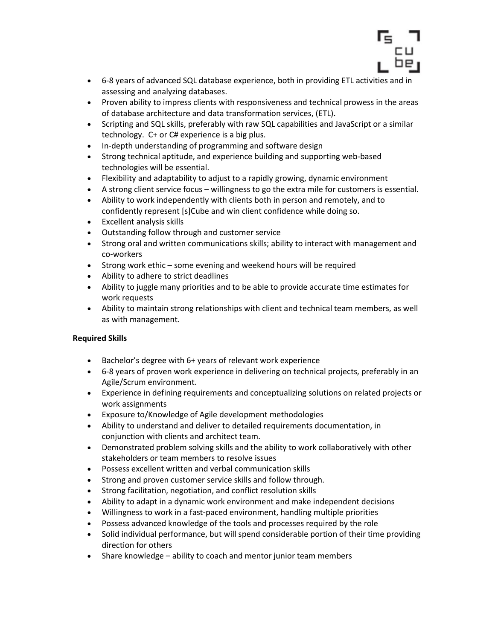

- 6-8 years of advanced SQL database experience, both in providing ETL activities and in assessing and analyzing databases.
- Proven ability to impress clients with responsiveness and technical prowess in the areas of database architecture and data transformation services, (ETL).
- Scripting and SQL skills, preferably with raw SQL capabilities and JavaScript or a similar technology. C+ or C# experience is a big plus.
- In-depth understanding of programming and software design
- Strong technical aptitude, and experience building and supporting web-based technologies will be essential.
- Flexibility and adaptability to adjust to a rapidly growing, dynamic environment
- A strong client service focus willingness to go the extra mile for customers is essential.
- Ability to work independently with clients both in person and remotely, and to confidently represent [s]Cube and win client confidence while doing so.
- Excellent analysis skills
- Outstanding follow through and customer service
- Strong oral and written communications skills; ability to interact with management and co-workers
- Strong work ethic some evening and weekend hours will be required
- Ability to adhere to strict deadlines
- Ability to juggle many priorities and to be able to provide accurate time estimates for work requests
- Ability to maintain strong relationships with client and technical team members, as well as with management.

### Required Skills

- Bachelor's degree with 6+ years of relevant work experience
- 6-8 years of proven work experience in delivering on technical projects, preferably in an Agile/Scrum environment.
- Experience in defining requirements and conceptualizing solutions on related projects or work assignments
- Exposure to/Knowledge of Agile development methodologies
- Ability to understand and deliver to detailed requirements documentation, in conjunction with clients and architect team.
- Demonstrated problem solving skills and the ability to work collaboratively with other stakeholders or team members to resolve issues
- Possess excellent written and verbal communication skills
- Strong and proven customer service skills and follow through.
- Strong facilitation, negotiation, and conflict resolution skills
- Ability to adapt in a dynamic work environment and make independent decisions
- Willingness to work in a fast-paced environment, handling multiple priorities
- Possess advanced knowledge of the tools and processes required by the role
- Solid individual performance, but will spend considerable portion of their time providing direction for others
- Share knowledge ability to coach and mentor junior team members